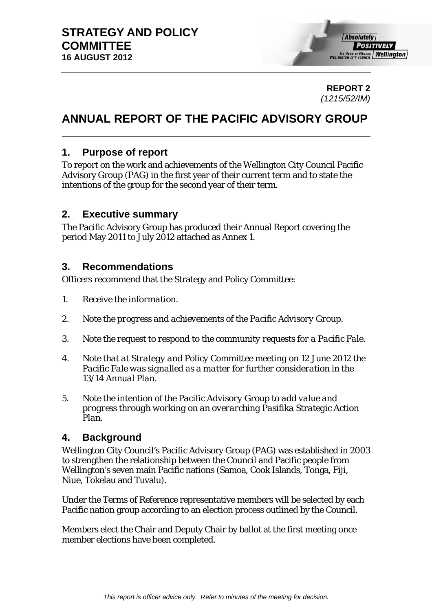**REPORT 2**  *(1215/52/IM)* 

# **ANNUAL REPORT OF THE PACIFIC ADVISORY GROUP**

## **1. Purpose of report**

To report on the work and achievements of the Wellington City Council Pacific Advisory Group (PAG) in the first year of their current term and to state the intentions of the group for the second year of their term.

## **2. Executive summary**

The Pacific Advisory Group has produced their Annual Report covering the period May 2011 to July 2012 attached as Annex 1.

## **3. Recommendations**

Officers recommend that the Strategy and Policy Committee:

- *1. Receive the information.*
- *2. Note the progress and achievements of the Pacific Advisory Group.*
- *3. Note the request to respond to the community requests for a Pacific Fale.*
- *4. Note that at Strategy and Policy Committee meeting on 12 June 2012 the Pacific Fale was signalled as a matter for further consideration in the 13/14 Annual Plan.*
- *5. Note the intention of the Pacific Advisory Group to add value and progress through working on an overarching Pasifika Strategic Action Plan.*

# **4. Background**

Wellington City Council's Pacific Advisory Group (PAG) was established in 2003 to strengthen the relationship between the Council and Pacific people from Wellington's seven main Pacific nations (Samoa, Cook Islands, Tonga, Fiji, Niue, Tokelau and Tuvalu).

Under the Terms of Reference representative members will be selected by each Pacific nation group according to an election process outlined by the Council.

Members elect the Chair and Deputy Chair by ballot at the first meeting once member elections have been completed.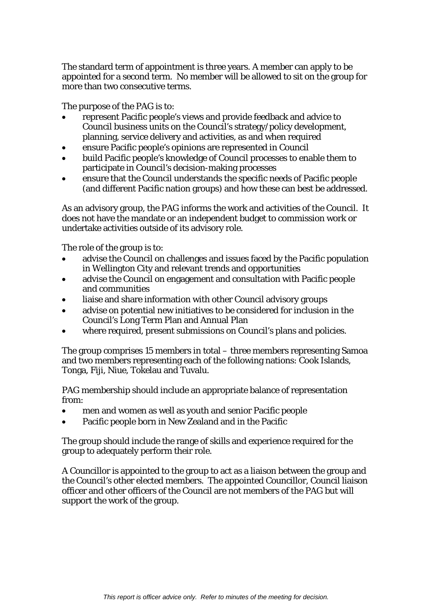The standard term of appointment is three years. A member can apply to be appointed for a second term. No member will be allowed to sit on the group for more than two consecutive terms.

The purpose of the PAG is to:

- represent Pacific people's views and provide feedback and advice to Council business units on the Council's strategy/policy development, planning, service delivery and activities, as and when required
- ensure Pacific people's opinions are represented in Council
- build Pacific people's knowledge of Council processes to enable them to participate in Council's decision-making processes
- ensure that the Council understands the specific needs of Pacific people (and different Pacific nation groups) and how these can best be addressed.

As an advisory group, the PAG informs the work and activities of the Council. It does not have the mandate or an independent budget to commission work or undertake activities outside of its advisory role.

The role of the group is to:

- advise the Council on challenges and issues faced by the Pacific population in Wellington City and relevant trends and opportunities
- advise the Council on engagement and consultation with Pacific people and communities
- liaise and share information with other Council advisory groups
- advise on potential new initiatives to be considered for inclusion in the Council's Long Term Plan and Annual Plan
- where required, present submissions on Council's plans and policies.

The group comprises 15 members in total – three members representing Samoa and two members representing each of the following nations: Cook Islands, Tonga, Fiji, Niue, Tokelau and Tuvalu.

PAG membership should include an appropriate balance of representation from:

- men and women as well as youth and senior Pacific people
- Pacific people born in New Zealand and in the Pacific

The group should include the range of skills and experience required for the group to adequately perform their role.

A Councillor is appointed to the group to act as a liaison between the group and the Council's other elected members. The appointed Councillor, Council liaison officer and other officers of the Council are not members of the PAG but will support the work of the group.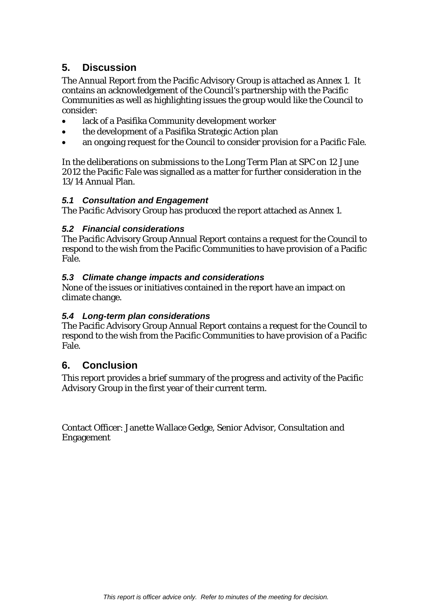# **5. Discussion**

The Annual Report from the Pacific Advisory Group is attached as Annex 1. It contains an acknowledgement of the Council's partnership with the Pacific Communities as well as highlighting issues the group would like the Council to consider:

- lack of a Pasifika Community development worker
- the development of a Pasifika Strategic Action plan
- an ongoing request for the Council to consider provision for a Pacific Fale.

In the deliberations on submissions to the Long Term Plan at SPC on 12 June 2012 the Pacific Fale was signalled as a matter for further consideration in the 13/14 Annual Plan.

## *5.1 Consultation and Engagement*

The Pacific Advisory Group has produced the report attached as Annex 1.

## *5.2 Financial considerations*

The Pacific Advisory Group Annual Report contains a request for the Council to respond to the wish from the Pacific Communities to have provision of a Pacific Fale.

### *5.3 Climate change impacts and considerations*

None of the issues or initiatives contained in the report have an impact on climate change.

## *5.4 Long-term plan considerations*

The Pacific Advisory Group Annual Report contains a request for the Council to respond to the wish from the Pacific Communities to have provision of a Pacific Fale.

## **6. Conclusion**

This report provides a brief summary of the progress and activity of the Pacific Advisory Group in the first year of their current term.

Contact Officer: Janette Wallace Gedge, Senior Advisor, Consultation and Engagement